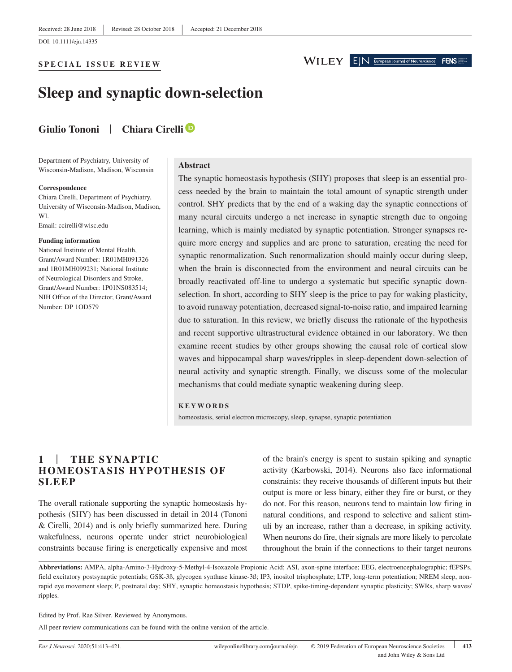### **SPECIAL ISSUE REVIEW**

## WILEY EIN European Journal of Neuroscience

**FENSI** 

**Sleep and synaptic down-selection**

# **Giulio Tononi** | **Chiara Cirell[i](https://orcid.org/0000-0003-2563-677X)**

Department of Psychiatry, University of Wisconsin-Madison, Madison, Wisconsin

#### **Correspondence**

Chiara Cirelli, Department of Psychiatry, University of Wisconsin-Madison, Madison, WI. Email: [ccirelli@wisc.edu](mailto:ccirelli@wisc.edu)

#### **Funding information**

National Institute of Mental Health, Grant/Award Number: 1R01MH091326 and 1R01MH099231; National Institute of Neurological Disorders and Stroke, Grant/Award Number: 1P01NS083514; NIH Office of the Director, Grant/Award Number: DP 1OD579

#### **Abstract**

The synaptic homeostasis hypothesis (SHY) proposes that sleep is an essential process needed by the brain to maintain the total amount of synaptic strength under control. SHY predicts that by the end of a waking day the synaptic connections of many neural circuits undergo a net increase in synaptic strength due to ongoing learning, which is mainly mediated by synaptic potentiation. Stronger synapses require more energy and supplies and are prone to saturation, creating the need for synaptic renormalization. Such renormalization should mainly occur during sleep, when the brain is disconnected from the environment and neural circuits can be broadly reactivated off-line to undergo a systematic but specific synaptic downselection. In short, according to SHY sleep is the price to pay for waking plasticity, to avoid runaway potentiation, decreased signal-to-noise ratio, and impaired learning due to saturation. In this review, we briefly discuss the rationale of the hypothesis and recent supportive ultrastructural evidence obtained in our laboratory. We then examine recent studies by other groups showing the causal role of cortical slow waves and hippocampal sharp waves/ripples in sleep-dependent down-selection of neural activity and synaptic strength. Finally, we discuss some of the molecular mechanisms that could mediate synaptic weakening during sleep.

#### **KEYWORDS**

homeostasis, serial electron microscopy, sleep, synapse, synaptic potentiation

## **1** | **THE SYNAPTIC HOMEOSTASIS HYPOTHESIS OF SLEEP**

The overall rationale supporting the synaptic homeostasis hypothesis (SHY) has been discussed in detail in 2014 (Tononi & Cirelli, 2014) and is only briefly summarized here. During wakefulness, neurons operate under strict neurobiological constraints because firing is energetically expensive and most of the brain's energy is spent to sustain spiking and synaptic activity (Karbowski, 2014). Neurons also face informational constraints: they receive thousands of different inputs but their output is more or less binary, either they fire or burst, or they do not. For this reason, neurons tend to maintain low firing in natural conditions, and respond to selective and salient stimuli by an increase, rather than a decrease, in spiking activity. When neurons do fire, their signals are more likely to percolate throughout the brain if the connections to their target neurons

**Abbreviations:** AMPA, alpha-Amino-3-Hydroxy-5-Methyl-4-Isoxazole Propionic Acid; ASI, axon-spine interface; EEG, electroencephalographic; fEPSPs, field excitatory postsynaptic potentials; GSK-3ß, glycogen synthase kinase-3ß; IP3, inositol trisphosphate; LTP, long-term potentiation; NREM sleep, nonrapid eye movement sleep; P, postnatal day; SHY, synaptic homeostasis hypothesis; STDP, spike-timing-dependent synaptic plasticity; SWRs, sharp waves/ ripples.

Edited by Prof. Rae Silver. Reviewed by Anonymous.

All peer review communications can be found with the online version of the article.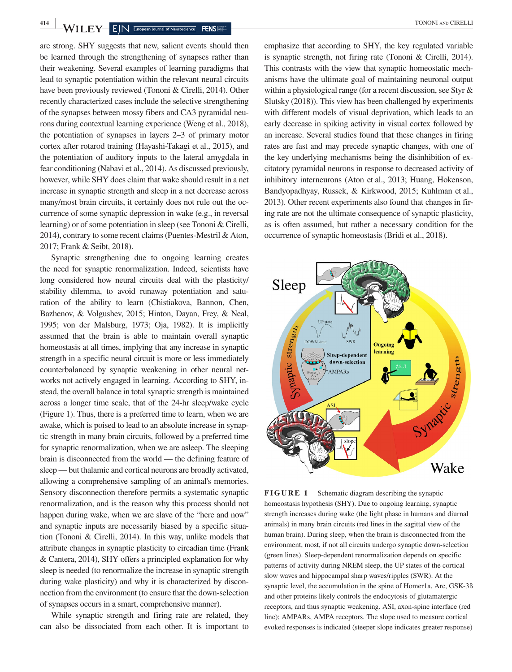**414 WILEY** EIN European Journal of Neuroscience **FENS** 

are strong. SHY suggests that new, salient events should then be learned through the strengthening of synapses rather than their weakening. Several examples of learning paradigms that lead to synaptic potentiation within the relevant neural circuits have been previously reviewed (Tononi & Cirelli, 2014). Other recently characterized cases include the selective strengthening of the synapses between mossy fibers and CA3 pyramidal neurons during contextual learning experience (Weng et al., 2018), the potentiation of synapses in layers 2–3 of primary motor cortex after rotarod training (Hayashi-Takagi et al., 2015), and the potentiation of auditory inputs to the lateral amygdala in fear conditioning (Nabavi et al., 2014). As discussed previously, however, while SHY does claim that wake should result in a net increase in synaptic strength and sleep in a net decrease across many/most brain circuits, it certainly does not rule out the occurrence of some synaptic depression in wake (e.g., in reversal learning) or of some potentiation in sleep (see Tononi & Cirelli, 2014), contrary to some recent claims (Puentes-Mestril & Aton, 2017; Frank & Seibt, 2018).

Synaptic strengthening due to ongoing learning creates the need for synaptic renormalization. Indeed, scientists have long considered how neural circuits deal with the plasticity/ stability dilemma, to avoid runaway potentiation and saturation of the ability to learn (Chistiakova, Bannon, Chen, Bazhenov, & Volgushev, 2015; Hinton, Dayan, Frey, & Neal, 1995; von der Malsburg, 1973; Oja, 1982). It is implicitly assumed that the brain is able to maintain overall synaptic homeostasis at all times, implying that any increase in synaptic strength in a specific neural circuit is more or less immediately counterbalanced by synaptic weakening in other neural networks not actively engaged in learning. According to SHY, instead, the overall balance in total synaptic strength is maintained across a longer time scale, that of the 24-hr sleep/wake cycle (Figure 1). Thus, there is a preferred time to learn, when we are awake, which is poised to lead to an absolute increase in synaptic strength in many brain circuits, followed by a preferred time for synaptic renormalization, when we are asleep. The sleeping brain is disconnected from the world — the defining feature of sleep — but thalamic and cortical neurons are broadly activated, allowing a comprehensive sampling of an animal's memories. Sensory disconnection therefore permits a systematic synaptic renormalization, and is the reason why this process should not happen during wake, when we are slave of the "here and now" and synaptic inputs are necessarily biased by a specific situation (Tononi & Cirelli, 2014). In this way, unlike models that attribute changes in synaptic plasticity to circadian time (Frank & Cantera, 2014), SHY offers a principled explanation for why sleep is needed (to renormalize the increase in synaptic strength during wake plasticity) and why it is characterized by disconnection from the environment (to ensure that the down-selection of synapses occurs in a smart, comprehensive manner).

While synaptic strength and firing rate are related, they can also be dissociated from each other. It is important to emphasize that according to SHY, the key regulated variable is synaptic strength, not firing rate (Tononi & Cirelli, 2014). This contrasts with the view that synaptic homeostatic mechanisms have the ultimate goal of maintaining neuronal output within a physiological range (for a recent discussion, see Styr & Slutsky (2018)). This view has been challenged by experiments with different models of visual deprivation, which leads to an early decrease in spiking activity in visual cortex followed by an increase. Several studies found that these changes in firing rates are fast and may precede synaptic changes, with one of the key underlying mechanisms being the disinhibition of excitatory pyramidal neurons in response to decreased activity of inhibitory interneurons (Aton et al., 2013; Huang, Hokenson, Bandyopadhyay, Russek, & Kirkwood, 2015; Kuhlman et al., 2013). Other recent experiments also found that changes in firing rate are not the ultimate consequence of synaptic plasticity, as is often assumed, but rather a necessary condition for the occurrence of synaptic homeostasis (Bridi et al., 2018).



**FIGURE 1** Schematic diagram describing the synaptic homeostasis hypothesis (SHY). Due to ongoing learning, synaptic strength increases during wake (the light phase in humans and diurnal animals) in many brain circuits (red lines in the sagittal view of the human brain). During sleep, when the brain is disconnected from the environment, most, if not all circuits undergo synaptic down-selection (green lines). Sleep-dependent renormalization depends on specific patterns of activity during NREM sleep, the UP states of the cortical slow waves and hippocampal sharp waves/ripples (SWR). At the synaptic level, the accumulation in the spine of Homer1a, Arc, GSK-3ß and other proteins likely controls the endocytosis of glutamatergic receptors, and thus synaptic weakening. ASI, axon-spine interface (red line); AMPARs, AMPA receptors. The slope used to measure cortical evoked responses is indicated (steeper slope indicates greater response)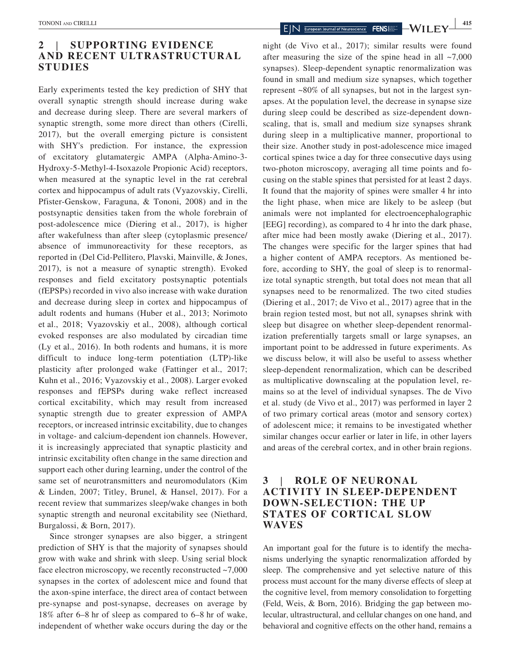# **2** | **SUPPORTING EVIDENCE AND RECENT ULTRASTRUCTURAL STUDIES**

Early experiments tested the key prediction of SHY that overall synaptic strength should increase during wake and decrease during sleep. There are several markers of synaptic strength, some more direct than others (Cirelli, 2017), but the overall emerging picture is consistent with SHY's prediction. For instance, the expression of excitatory glutamatergic AMPA (Alpha-Amino-3- Hydroxy-5-Methyl-4-Isoxazole Propionic Acid) receptors, when measured at the synaptic level in the rat cerebral cortex and hippocampus of adult rats (Vyazovskiy, Cirelli, Pfister-Genskow, Faraguna, & Tononi, 2008) and in the postsynaptic densities taken from the whole forebrain of post-adolescence mice (Diering et al., 2017), is higher after wakefulness than after sleep (cytoplasmic presence/ absence of immunoreactivity for these receptors, as reported in (Del Cid-Pellitero, Plavski, Mainville, & Jones, 2017), is not a measure of synaptic strength). Evoked responses and field excitatory postsynaptic potentials (fEPSPs) recorded in vivo also increase with wake duration and decrease during sleep in cortex and hippocampus of adult rodents and humans (Huber et al., 2013; Norimoto et al., 2018; Vyazovskiy et al., 2008), although cortical evoked responses are also modulated by circadian time (Ly et al., 2016). In both rodents and humans, it is more difficult to induce long-term potentiation (LTP)-like plasticity after prolonged wake (Fattinger et al., 2017; Kuhn et al., 2016; Vyazovskiy et al., 2008). Larger evoked responses and fEPSPs during wake reflect increased cortical excitability, which may result from increased synaptic strength due to greater expression of AMPA receptors, or increased intrinsic excitability, due to changes in voltage- and calcium-dependent ion channels. However, it is increasingly appreciated that synaptic plasticity and intrinsic excitability often change in the same direction and support each other during learning, under the control of the same set of neurotransmitters and neuromodulators (Kim & Linden, 2007; Titley, Brunel, & Hansel, 2017). For a recent review that summarizes sleep/wake changes in both synaptic strength and neuronal excitability see (Niethard, Burgalossi, & Born, 2017).

Since stronger synapses are also bigger, a stringent prediction of SHY is that the majority of synapses should grow with wake and shrink with sleep. Using serial block face electron microscopy, we recently reconstructed ~7,000 synapses in the cortex of adolescent mice and found that the axon-spine interface, the direct area of contact between pre-synapse and post-synapse, decreases on average by 18% after 6–8 hr of sleep as compared to 6–8 hr of wake, independent of whether wake occurs during the day or the

night (de Vivo et al., 2017); similar results were found after measuring the size of the spine head in all  $\sim$ 7,000 synapses). Sleep-dependent synaptic renormalization was found in small and medium size synapses, which together represent ~80% of all synapses, but not in the largest synapses. At the population level, the decrease in synapse size during sleep could be described as size-dependent downscaling, that is, small and medium size synapses shrank during sleep in a multiplicative manner, proportional to their size. Another study in post-adolescence mice imaged cortical spines twice a day for three consecutive days using two-photon microscopy, averaging all time points and focusing on the stable spines that persisted for at least 2 days. It found that the majority of spines were smaller 4 hr into the light phase, when mice are likely to be asleep (but animals were not implanted for electroencephalographic [EEG] recording), as compared to 4 hr into the dark phase, after mice had been mostly awake (Diering et al., 2017). The changes were specific for the larger spines that had a higher content of AMPA receptors. As mentioned before, according to SHY, the goal of sleep is to renormalize total synaptic strength, but total does not mean that all synapses need to be renormalized. The two cited studies (Diering et al., 2017; de Vivo et al., 2017) agree that in the brain region tested most, but not all, synapses shrink with sleep but disagree on whether sleep-dependent renormalization preferentially targets small or large synapses, an important point to be addressed in future experiments. As we discuss below, it will also be useful to assess whether sleep-dependent renormalization, which can be described as multiplicative downscaling at the population level, remains so at the level of individual synapses. The de Vivo et al. study (de Vivo et al., 2017) was performed in layer 2 of two primary cortical areas (motor and sensory cortex) of adolescent mice; it remains to be investigated whether similar changes occur earlier or later in life, in other layers and areas of the cerebral cortex, and in other brain regions.

# **3** | **ROLE OF NEURONAL ACTIVITY IN SLEEP-DEPENDENT DOWN-SELECTION: THE UP STATES OF CORTICAL SLOW WAVES**

An important goal for the future is to identify the mechanisms underlying the synaptic renormalization afforded by sleep. The comprehensive and yet selective nature of this process must account for the many diverse effects of sleep at the cognitive level, from memory consolidation to forgetting (Feld, Weis, & Born, 2016). Bridging the gap between molecular, ultrastructural, and cellular changes on one hand, and behavioral and cognitive effects on the other hand, remains a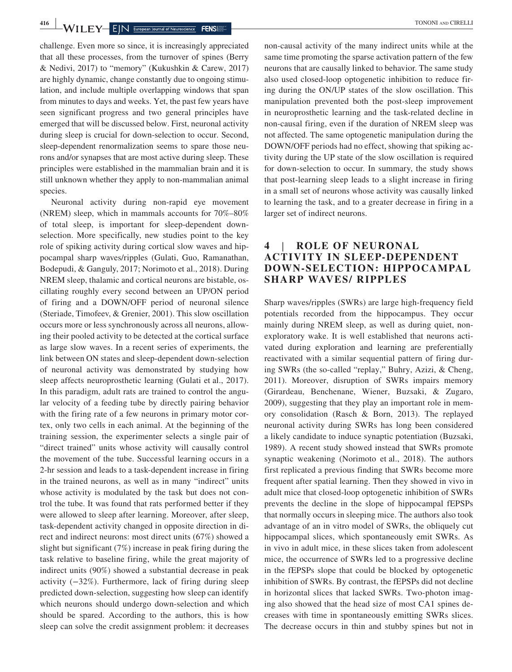challenge. Even more so since, it is increasingly appreciated that all these processes, from the turnover of spines (Berry & Nedivi, 2017) to "memory" (Kukushkin & Carew, 2017) are highly dynamic, change constantly due to ongoing stimulation, and include multiple overlapping windows that span from minutes to days and weeks. Yet, the past few years have seen significant progress and two general principles have emerged that will be discussed below. First, neuronal activity during sleep is crucial for down-selection to occur. Second, sleep-dependent renormalization seems to spare those neurons and/or synapses that are most active during sleep. These principles were established in the mammalian brain and it is still unknown whether they apply to non-mammalian animal species.

Neuronal activity during non-rapid eye movement (NREM) sleep, which in mammals accounts for 70%–80% of total sleep, is important for sleep-dependent downselection. More specifically, new studies point to the key role of spiking activity during cortical slow waves and hippocampal sharp waves/ripples (Gulati, Guo, Ramanathan, Bodepudi, & Ganguly, 2017; Norimoto et al., 2018). During NREM sleep, thalamic and cortical neurons are bistable, oscillating roughly every second between an UP/ON period of firing and a DOWN/OFF period of neuronal silence (Steriade, Timofeev, & Grenier, 2001). This slow oscillation occurs more or less synchronously across all neurons, allowing their pooled activity to be detected at the cortical surface as large slow waves. In a recent series of experiments, the link between ON states and sleep-dependent down-selection of neuronal activity was demonstrated by studying how sleep affects neuroprosthetic learning (Gulati et al., 2017). In this paradigm, adult rats are trained to control the angular velocity of a feeding tube by directly pairing behavior with the firing rate of a few neurons in primary motor cortex, only two cells in each animal. At the beginning of the training session, the experimenter selects a single pair of "direct trained" units whose activity will causally control the movement of the tube. Successful learning occurs in a 2-hr session and leads to a task-dependent increase in firing in the trained neurons, as well as in many "indirect" units whose activity is modulated by the task but does not control the tube. It was found that rats performed better if they were allowed to sleep after learning. Moreover, after sleep, task-dependent activity changed in opposite direction in direct and indirect neurons: most direct units (67%) showed a slight but significant (7%) increase in peak firing during the task relative to baseline firing, while the great majority of indirect units (90%) showed a substantial decrease in peak activity (−32%). Furthermore, lack of firing during sleep predicted down-selection, suggesting how sleep can identify which neurons should undergo down-selection and which should be spared. According to the authors, this is how sleep can solve the credit assignment problem: it decreases non-causal activity of the many indirect units while at the same time promoting the sparse activation pattern of the few neurons that are causally linked to behavior. The same study also used closed-loop optogenetic inhibition to reduce firing during the ON/UP states of the slow oscillation. This manipulation prevented both the post-sleep improvement in neuroprosthetic learning and the task-related decline in non-causal firing, even if the duration of NREM sleep was not affected. The same optogenetic manipulation during the DOWN/OFF periods had no effect, showing that spiking activity during the UP state of the slow oscillation is required for down-selection to occur. In summary, the study shows that post-learning sleep leads to a slight increase in firing in a small set of neurons whose activity was causally linked to learning the task, and to a greater decrease in firing in a larger set of indirect neurons.

## **4** | **ROLE OF NEURONAL ACTIVITY IN SLEEP-DEPENDENT DOWN-SELECTION: HIPPOCAMPAL SHARP WAVES/ RIPPLES**

Sharp waves/ripples (SWRs) are large high-frequency field potentials recorded from the hippocampus. They occur mainly during NREM sleep, as well as during quiet, nonexploratory wake. It is well established that neurons activated during exploration and learning are preferentially reactivated with a similar sequential pattern of firing during SWRs (the so-called "replay," Buhry, Azizi, & Cheng, 2011). Moreover, disruption of SWRs impairs memory (Girardeau, Benchenane, Wiener, Buzsaki, & Zugaro, 2009), suggesting that they play an important role in memory consolidation (Rasch & Born, 2013). The replayed neuronal activity during SWRs has long been considered a likely candidate to induce synaptic potentiation (Buzsaki, 1989). A recent study showed instead that SWRs promote synaptic weakening (Norimoto et al., 2018). The authors first replicated a previous finding that SWRs become more frequent after spatial learning. Then they showed in vivo in adult mice that closed-loop optogenetic inhibition of SWRs prevents the decline in the slope of hippocampal fEPSPs that normally occurs in sleeping mice. The authors also took advantage of an in vitro model of SWRs, the obliquely cut hippocampal slices, which spontaneously emit SWRs. As in vivo in adult mice, in these slices taken from adolescent mice, the occurrence of SWRs led to a progressive decline in the fEPSPs slope that could be blocked by optogenetic inhibition of SWRs. By contrast, the fEPSPs did not decline in horizontal slices that lacked SWRs. Two-photon imaging also showed that the head size of most CA1 spines decreases with time in spontaneously emitting SWRs slices. The decrease occurs in thin and stubby spines but not in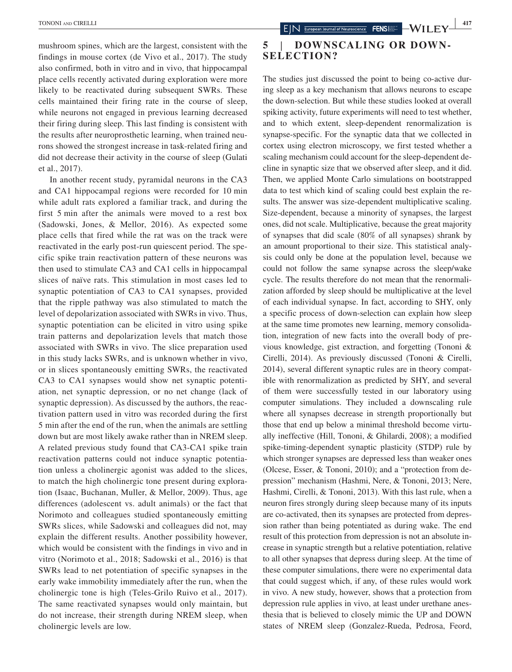mushroom spines, which are the largest, consistent with the findings in mouse cortex (de Vivo et al., 2017). The study also confirmed, both in vitro and in vivo, that hippocampal place cells recently activated during exploration were more likely to be reactivated during subsequent SWRs. These cells maintained their firing rate in the course of sleep, while neurons not engaged in previous learning decreased their firing during sleep. This last finding is consistent with the results after neuroprosthetic learning, when trained neurons showed the strongest increase in task-related firing and did not decrease their activity in the course of sleep (Gulati et al., 2017).

In another recent study, pyramidal neurons in the CA3 and CA1 hippocampal regions were recorded for 10 min while adult rats explored a familiar track, and during the first 5 min after the animals were moved to a rest box (Sadowski, Jones, & Mellor, 2016). As expected some place cells that fired while the rat was on the track were reactivated in the early post-run quiescent period. The specific spike train reactivation pattern of these neurons was then used to stimulate CA3 and CA1 cells in hippocampal slices of naïve rats. This stimulation in most cases led to synaptic potentiation of CA3 to CA1 synapses, provided that the ripple pathway was also stimulated to match the level of depolarization associated with SWRs in vivo. Thus, synaptic potentiation can be elicited in vitro using spike train patterns and depolarization levels that match those associated with SWRs in vivo. The slice preparation used in this study lacks SWRs, and is unknown whether in vivo, or in slices spontaneously emitting SWRs, the reactivated CA3 to CA1 synapses would show net synaptic potentiation, net synaptic depression, or no net change (lack of synaptic depression). As discussed by the authors, the reactivation pattern used in vitro was recorded during the first 5 min after the end of the run, when the animals are settling down but are most likely awake rather than in NREM sleep. A related previous study found that CA3-CA1 spike train reactivation patterns could not induce synaptic potentiation unless a cholinergic agonist was added to the slices, to match the high cholinergic tone present during exploration (Isaac, Buchanan, Muller, & Mellor, 2009). Thus, age differences (adolescent vs. adult animals) or the fact that Norimoto and colleagues studied spontaneously emitting SWRs slices, while Sadowski and colleagues did not, may explain the different results. Another possibility however, which would be consistent with the findings in vivo and in vitro (Norimoto et al., 2018; Sadowski et al., 2016) is that SWRs lead to net potentiation of specific synapses in the early wake immobility immediately after the run, when the cholinergic tone is high (Teles-Grilo Ruivo et al., 2017). The same reactivated synapses would only maintain, but do not increase, their strength during NREM sleep, when cholinergic levels are low.

# **5** | **DOWNSCALING OR DOWN-SELECTION?**

The studies just discussed the point to being co-active during sleep as a key mechanism that allows neurons to escape the down-selection. But while these studies looked at overall spiking activity, future experiments will need to test whether, and to which extent, sleep-dependent renormalization is synapse-specific. For the synaptic data that we collected in cortex using electron microscopy, we first tested whether a scaling mechanism could account for the sleep-dependent decline in synaptic size that we observed after sleep, and it did. Then, we applied Monte Carlo simulations on bootstrapped data to test which kind of scaling could best explain the results. The answer was size-dependent multiplicative scaling. Size-dependent, because a minority of synapses, the largest ones, did not scale. Multiplicative, because the great majority of synapses that did scale (80% of all synapses) shrank by an amount proportional to their size. This statistical analysis could only be done at the population level, because we could not follow the same synapse across the sleep/wake cycle. The results therefore do not mean that the renormalization afforded by sleep should be multiplicative at the level of each individual synapse. In fact, according to SHY, only a specific process of down-selection can explain how sleep at the same time promotes new learning, memory consolidation, integration of new facts into the overall body of previous knowledge, gist extraction, and forgetting (Tononi & Cirelli, 2014). As previously discussed (Tononi & Cirelli, 2014), several different synaptic rules are in theory compatible with renormalization as predicted by SHY, and several of them were successfully tested in our laboratory using computer simulations. They included a downscaling rule where all synapses decrease in strength proportionally but those that end up below a minimal threshold become virtually ineffective (Hill, Tononi, & Ghilardi, 2008); a modified spike-timing-dependent synaptic plasticity (STDP) rule by which stronger synapses are depressed less than weaker ones (Olcese, Esser, & Tononi, 2010); and a "protection from depression" mechanism (Hashmi, Nere, & Tononi, 2013; Nere, Hashmi, Cirelli, & Tononi, 2013). With this last rule, when a neuron fires strongly during sleep because many of its inputs are co-activated, then its synapses are protected from depression rather than being potentiated as during wake. The end result of this protection from depression is not an absolute increase in synaptic strength but a relative potentiation, relative to all other synapses that depress during sleep. At the time of these computer simulations, there were no experimental data that could suggest which, if any, of these rules would work in vivo. A new study, however, shows that a protection from depression rule applies in vivo, at least under urethane anesthesia that is believed to closely mimic the UP and DOWN states of NREM sleep (Gonzalez-Rueda, Pedrosa, Feord,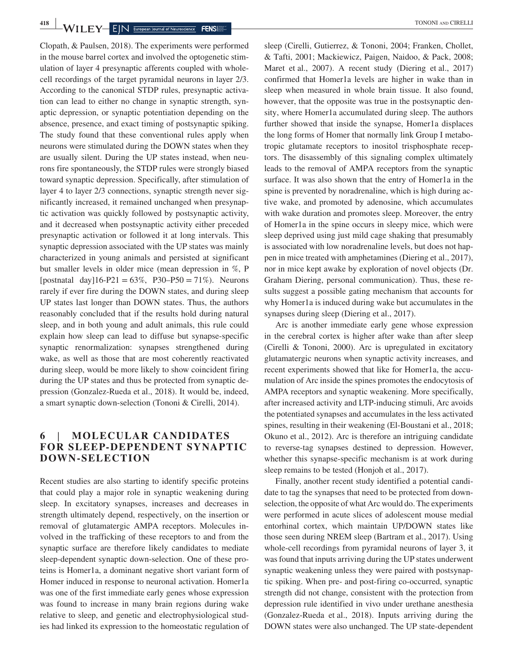Clopath, & Paulsen, 2018). The experiments were performed in the mouse barrel cortex and involved the optogenetic stimulation of layer 4 presynaptic afferents coupled with wholecell recordings of the target pyramidal neurons in layer 2/3. According to the canonical STDP rules, presynaptic activation can lead to either no change in synaptic strength, synaptic depression, or synaptic potentiation depending on the absence, presence, and exact timing of postsynaptic spiking. The study found that these conventional rules apply when neurons were stimulated during the DOWN states when they are usually silent. During the UP states instead, when neurons fire spontaneously, the STDP rules were strongly biased toward synaptic depression. Specifically, after stimulation of layer 4 to layer 2/3 connections, synaptic strength never significantly increased, it remained unchanged when presynaptic activation was quickly followed by postsynaptic activity, and it decreased when postsynaptic activity either preceded presynaptic activation or followed it at long intervals. This synaptic depression associated with the UP states was mainly characterized in young animals and persisted at significant but smaller levels in older mice (mean depression in %, P [postnatal day]16-P21 =  $63\%$ , P30-P50 =  $71\%$ ). Neurons rarely if ever fire during the DOWN states, and during sleep UP states last longer than DOWN states. Thus, the authors reasonably concluded that if the results hold during natural sleep, and in both young and adult animals, this rule could explain how sleep can lead to diffuse but synapse-specific synaptic renormalization: synapses strengthened during wake, as well as those that are most coherently reactivated during sleep, would be more likely to show coincident firing during the UP states and thus be protected from synaptic depression (Gonzalez-Rueda et al., 2018). It would be, indeed, a smart synaptic down-selection (Tononi & Cirelli, 2014).

## **6** | **MOLECULAR CANDIDATES FOR SLEEP-DEPENDENT SYNAPTIC DOWN-SELECTION**

Recent studies are also starting to identify specific proteins that could play a major role in synaptic weakening during sleep. In excitatory synapses, increases and decreases in strength ultimately depend, respectively, on the insertion or removal of glutamatergic AMPA receptors. Molecules involved in the trafficking of these receptors to and from the synaptic surface are therefore likely candidates to mediate sleep-dependent synaptic down-selection. One of these proteins is Homer1a, a dominant negative short variant form of Homer induced in response to neuronal activation. Homer1a was one of the first immediate early genes whose expression was found to increase in many brain regions during wake relative to sleep, and genetic and electrophysiological studies had linked its expression to the homeostatic regulation of sleep (Cirelli, Gutierrez, & Tononi, 2004; Franken, Chollet, & Tafti, 2001; Mackiewicz, Paigen, Naidoo, & Pack, 2008; Maret et al., 2007). A recent study (Diering et al., 2017) confirmed that Homer1a levels are higher in wake than in sleep when measured in whole brain tissue. It also found, however, that the opposite was true in the postsynaptic density, where Homer1a accumulated during sleep. The authors further showed that inside the synapse, Homer1a displaces the long forms of Homer that normally link Group I metabotropic glutamate receptors to inositol trisphosphate receptors. The disassembly of this signaling complex ultimately leads to the removal of AMPA receptors from the synaptic surface. It was also shown that the entry of Homer1a in the spine is prevented by noradrenaline, which is high during active wake, and promoted by adenosine, which accumulates with wake duration and promotes sleep. Moreover, the entry of Homer1a in the spine occurs in sleepy mice, which were sleep deprived using just mild cage shaking that presumably is associated with low noradrenaline levels, but does not happen in mice treated with amphetamines (Diering et al., 2017), nor in mice kept awake by exploration of novel objects (Dr. Graham Diering, personal communication). Thus, these results suggest a possible gating mechanism that accounts for why Homer1a is induced during wake but accumulates in the synapses during sleep (Diering et al., 2017).

Arc is another immediate early gene whose expression in the cerebral cortex is higher after wake than after sleep (Cirelli & Tononi, 2000). Arc is upregulated in excitatory glutamatergic neurons when synaptic activity increases, and recent experiments showed that like for Homer1a, the accumulation of Arc inside the spines promotes the endocytosis of AMPA receptors and synaptic weakening. More specifically, after increased activity and LTP-inducing stimuli, Arc avoids the potentiated synapses and accumulates in the less activated spines, resulting in their weakening (El-Boustani et al., 2018; Okuno et al., 2012). Arc is therefore an intriguing candidate to reverse-tag synapses destined to depression. However, whether this synapse-specific mechanism is at work during sleep remains to be tested (Honjoh et al., 2017).

Finally, another recent study identified a potential candidate to tag the synapses that need to be protected from downselection, the opposite of what Arc would do. The experiments were performed in acute slices of adolescent mouse medial entorhinal cortex, which maintain UP/DOWN states like those seen during NREM sleep (Bartram et al., 2017). Using whole-cell recordings from pyramidal neurons of layer 3, it was found that inputs arriving during the UP states underwent synaptic weakening unless they were paired with postsynaptic spiking. When pre- and post-firing co-occurred, synaptic strength did not change, consistent with the protection from depression rule identified in vivo under urethane anesthesia (Gonzalez-Rueda et al., 2018). Inputs arriving during the DOWN states were also unchanged. The UP state-dependent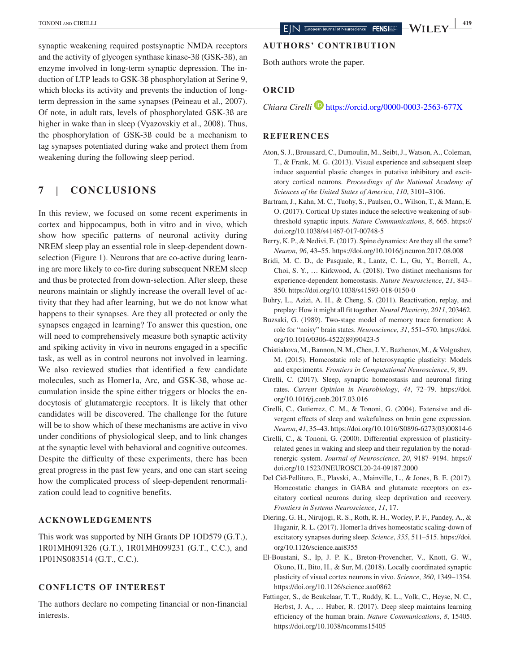synaptic weakening required postsynaptic NMDA receptors and the activity of glycogen synthase kinase-3ß (GSK-3ß), an enzyme involved in long-term synaptic depression. The induction of LTP leads to GSK-3ß phosphorylation at Serine 9, which blocks its activity and prevents the induction of longterm depression in the same synapses (Peineau et al., 2007). Of note, in adult rats, levels of phosphorylated GSK-3ß are higher in wake than in sleep (Vyazovskiy et al., 2008). Thus, the phosphorylation of GSK-3ß could be a mechanism to tag synapses potentiated during wake and protect them from weakening during the following sleep period.

# **7** | **CONCLUSIONS**

In this review, we focused on some recent experiments in cortex and hippocampus, both in vitro and in vivo, which show how specific patterns of neuronal activity during NREM sleep play an essential role in sleep-dependent downselection (Figure 1). Neurons that are co-active during learning are more likely to co-fire during subsequent NREM sleep and thus be protected from down-selection. After sleep, these neurons maintain or slightly increase the overall level of activity that they had after learning, but we do not know what happens to their synapses. Are they all protected or only the synapses engaged in learning? To answer this question, one will need to comprehensively measure both synaptic activity and spiking activity in vivo in neurons engaged in a specific task, as well as in control neurons not involved in learning. We also reviewed studies that identified a few candidate molecules, such as Homer1a, Arc, and GSK-3ß, whose accumulation inside the spine either triggers or blocks the endocytosis of glutamatergic receptors. It is likely that other candidates will be discovered. The challenge for the future will be to show which of these mechanisms are active in vivo under conditions of physiological sleep, and to link changes at the synaptic level with behavioral and cognitive outcomes. Despite the difficulty of these experiments, there has been great progress in the past few years, and one can start seeing how the complicated process of sleep-dependent renormalization could lead to cognitive benefits.

### **ACKNOWLEDGEMENTS**

This work was supported by NIH Grants DP 1OD579 (G.T.), 1R01MH091326 (G.T.), 1R01MH099231 (G.T., C.C.), and 1P01NS083514 (G.T., C.C.).

### **CONFLICTS OF INTEREST**

The authors declare no competing financial or non-financial interests.

## **AUTHORS' CONTRIBUTION**

Both authors wrote the paper.

### **ORCID**

*Chiara Cirelli* <https://orcid.org/0000-0003-2563-677X>

#### **REFERENCES**

- Aton, S. J., Broussard, C., Dumoulin, M., Seibt, J., Watson, A., Coleman, T., & Frank, M. G. (2013). Visual experience and subsequent sleep induce sequential plastic changes in putative inhibitory and excitatory cortical neurons. *Proceedings of the National Academy of Sciences of the United States of America*, *110*, 3101–3106.
- Bartram, J., Kahn, M. C., Tuohy, S., Paulsen, O., Wilson, T., & Mann, E. O. (2017). Cortical Up states induce the selective weakening of subthreshold synaptic inputs. *Nature Communications*, *8*, 665. [https://](https://doi.org/10.1038/s41467-017-00748-5) [doi.org/10.1038/s41467-017-00748-5](https://doi.org/10.1038/s41467-017-00748-5)
- Berry, K. P., & Nedivi, E. (2017). Spine dynamics: Are they all the same? *Neuron*, *96*, 43–55.<https://doi.org/10.1016/j.neuron.2017.08.008>
- Bridi, M. C. D., de Pasquale, R., Lantz, C. L., Gu, Y., Borrell, A., Choi, S. Y., … Kirkwood, A. (2018). Two distinct mechanisms for experience-dependent homeostasis. *Nature Neuroscience*, *21*, 843– 850. <https://doi.org/10.1038/s41593-018-0150-0>
- Buhry, L., Azizi, A. H., & Cheng, S. (2011). Reactivation, replay, and preplay: How it might all fit together. *Neural Plasticity*, *2011*, 203462.
- Buzsaki, G. (1989). Two-stage model of memory trace formation: A role for "noisy" brain states. *Neuroscience*, *31*, 551–570. [https://doi.](https://doi.org/10.1016/0306-4522(89)90423-5) [org/10.1016/0306-4522\(89\)90423-5](https://doi.org/10.1016/0306-4522(89)90423-5)
- Chistiakova, M., Bannon, N. M., Chen, J. Y., Bazhenov, M., & Volgushev, M. (2015). Homeostatic role of heterosynaptic plasticity: Models and experiments. *Frontiers in Computational Neuroscience*, *9*, 89.
- Cirelli, C. (2017). Sleep, synaptic homeostasis and neuronal firing rates. *Current Opinion in Neurobiology*, *44*, 72–79. [https://doi.](https://doi.org/10.1016/j.conb.2017.03.016) [org/10.1016/j.conb.2017.03.016](https://doi.org/10.1016/j.conb.2017.03.016)
- Cirelli, C., Gutierrez, C. M., & Tononi, G. (2004). Extensive and divergent effects of sleep and wakefulness on brain gene expression. *Neuron*, *41*, 35–43. [https://doi.org/10.1016/S0896-6273\(03\)00814-6](https://doi.org/10.1016/S0896-6273(03)00814-6)
- Cirelli, C., & Tononi, G. (2000). Differential expression of plasticityrelated genes in waking and sleep and their regulation by the noradrenergic system. *Journal of Neuroscience*, *20*, 9187–9194. [https://](https://doi.org/10.1523/JNEUROSCI.20-24-09187.2000) [doi.org/10.1523/JNEUROSCI.20-24-09187.2000](https://doi.org/10.1523/JNEUROSCI.20-24-09187.2000)
- Del Cid-Pellitero, E., Plavski, A., Mainville, L., & Jones, B. E. (2017). Homeostatic changes in GABA and glutamate receptors on excitatory cortical neurons during sleep deprivation and recovery. *Frontiers in Systems Neuroscience*, *11*, 17.
- Diering, G. H., Nirujogi, R. S., Roth, R. H., Worley, P. F., Pandey, A., & Huganir, R. L. (2017). Homer1a drives homeostatic scaling-down of excitatory synapses during sleep. *Science*, *355*, 511–515. [https://doi.](https://doi.org/10.1126/science.aai8355) [org/10.1126/science.aai8355](https://doi.org/10.1126/science.aai8355)
- El-Boustani, S., Ip, J. P. K., Breton-Provencher, V., Knott, G. W., Okuno, H., Bito, H., & Sur, M. (2018). Locally coordinated synaptic plasticity of visual cortex neurons in vivo. *Science*, *360*, 1349–1354. <https://doi.org/10.1126/science.aao0862>
- Fattinger, S., de Beukelaar, T. T., Ruddy, K. L., Volk, C., Heyse, N. C., Herbst, J. A., … Huber, R. (2017). Deep sleep maintains learning efficiency of the human brain. *Nature Communications*, *8*, 15405. <https://doi.org/10.1038/ncomms15405>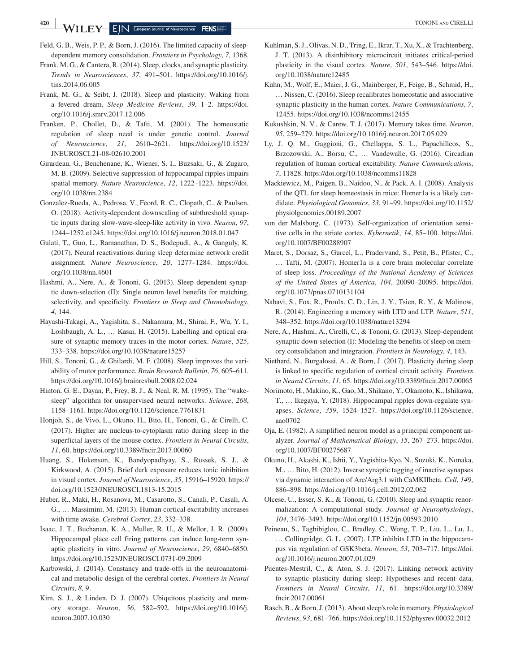**420 WILEY** EIN European Journal of Neuroscience **FENS** 

- Feld, G. B., Weis, P. P., & Born, J. (2016). The limited capacity of sleepdependent memory consolidation. *Frontiers in Psychology*, *7*, 1368.
- Frank, M. G., & Cantera, R. (2014). Sleep, clocks, and synaptic plasticity. *Trends in Neurosciences*, *37*, 491–501. [https://doi.org/10.1016/j.](https://doi.org/10.1016/j.tins.2014.06.005) [tins.2014.06.005](https://doi.org/10.1016/j.tins.2014.06.005)
- Frank, M. G., & Seibt, J. (2018). Sleep and plasticity: Waking from a fevered dream. *Sleep Medicine Reviews*, *39*, 1–2. [https://doi.](https://doi.org/10.1016/j.smrv.2017.12.006) [org/10.1016/j.smrv.2017.12.006](https://doi.org/10.1016/j.smrv.2017.12.006)
- Franken, P., Chollet, D., & Tafti, M. (2001). The homeostatic regulation of sleep need is under genetic control. *Journal of Neuroscience*, *21*, 2610–2621. [https://doi.org/10.1523/](https://doi.org/10.1523/JNEUROSCI.21-08-02610.2001) [JNEUROSCI.21-08-02610.2001](https://doi.org/10.1523/JNEUROSCI.21-08-02610.2001)
- Girardeau, G., Benchenane, K., Wiener, S. I., Buzsaki, G., & Zugaro, M. B. (2009). Selective suppression of hippocampal ripples impairs spatial memory. *Nature Neuroscience*, *12*, 1222–1223. [https://doi.](https://doi.org/10.1038/nn.2384) [org/10.1038/nn.2384](https://doi.org/10.1038/nn.2384)
- Gonzalez-Rueda, A., Pedrosa, V., Feord, R. C., Clopath, C., & Paulsen, O. (2018). Activity-dependent downscaling of subthreshold synaptic inputs during slow-wave-sleep-like activity in vivo. *Neuron*, *97*, 1244–1252 e1245. <https://doi.org/10.1016/j.neuron.2018.01.047>
- Gulati, T., Guo, L., Ramanathan, D. S., Bodepudi, A., & Ganguly, K. (2017). Neural reactivations during sleep determine network credit assignment. *Nature Neuroscience*, *20*, 1277–1284. [https://doi.](https://doi.org/10.1038/nn.4601) [org/10.1038/nn.4601](https://doi.org/10.1038/nn.4601)
- Hashmi, A., Nere, A., & Tononi, G. (2013). Sleep dependent synaptic down-selection (II): Single neuron level benefits for matching, selectivity, and specificity. *Frontiers in Sleep and Chronobiology*, *4*, 144.
- Hayashi-Takagi, A., Yagishita, S., Nakamura, M., Shirai, F., Wu, Y. I., Loshbaugh, A. L., … Kasai, H. (2015). Labelling and optical erasure of synaptic memory traces in the motor cortex. *Nature*, *525*, 333–338.<https://doi.org/10.1038/nature15257>
- Hill, S., Tononi, G., & Ghilardi, M. F. (2008). Sleep improves the variability of motor performance. *Brain Research Bulletin*, *76*, 605–611. <https://doi.org/10.1016/j.brainresbull.2008.02.024>
- Hinton, G. E., Dayan, P., Frey, B. J., & Neal, R. M. (1995). The "wakesleep" algorithm for unsupervised neural networks. *Science*, *268*, 1158–1161. <https://doi.org/10.1126/science.7761831>
- Honjoh, S., de Vivo, L., Okuno, H., Bito, H., Tononi, G., & Cirelli, C. (2017). Higher arc nucleus-to-cytoplasm ratio during sleep in the superficial layers of the mouse cortex. *Frontiers in Neural Circuits*, *11*, 60. <https://doi.org/10.3389/fncir.2017.00060>
- Huang, S., Hokenson, K., Bandyopadhyay, S., Russek, S. J., & Kirkwood, A. (2015). Brief dark exposure reduces tonic inhibition in visual cortex. *Journal of Neuroscience*, *35*, 15916–15920. [https://](https://doi.org/10.1523/JNEUROSCI.1813-15.2015) [doi.org/10.1523/JNEUROSCI.1813-15.2015](https://doi.org/10.1523/JNEUROSCI.1813-15.2015)
- Huber, R., Maki, H., Rosanova, M., Casarotto, S., Canali, P., Casali, A. G., … Massimini, M. (2013). Human cortical excitability increases with time awake. *Cerebral Cortex*, *23*, 332–338.
- Isaac, J. T., Buchanan, K. A., Muller, R. U., & Mellor, J. R. (2009). Hippocampal place cell firing patterns can induce long-term synaptic plasticity in vitro. *Journal of Neuroscience*, *29*, 6840–6850. <https://doi.org/10.1523/JNEUROSCI.0731-09.2009>
- Karbowski, J. (2014). Constancy and trade-offs in the neuroanatomical and metabolic design of the cerebral cortex. *Frontiers in Neural Circuits*, *8*, 9.
- Kim, S. J., & Linden, D. J. (2007). Ubiquitous plasticity and memory storage. *Neuron*, *56*, 582–592. [https://doi.org/10.1016/j.](https://doi.org/10.1016/j.neuron.2007.10.030) [neuron.2007.10.030](https://doi.org/10.1016/j.neuron.2007.10.030)
- Kuhlman, S. J., Olivas, N. D., Tring, E., Ikrar, T., Xu, X., & Trachtenberg, J. T. (2013). A disinhibitory microcircuit initiates critical-period plasticity in the visual cortex. *Nature*, *501*, 543–546. [https://doi.](https://doi.org/10.1038/nature12485) [org/10.1038/nature12485](https://doi.org/10.1038/nature12485)
- Kuhn, M., Wolf, E., Maier, J. G., Mainberger, F., Feige, B., Schmid, H., … Nissen, C. (2016). Sleep recalibrates homeostatic and associative synaptic plasticity in the human cortex. *Nature Communications*, *7*, 12455. <https://doi.org/10.1038/ncomms12455>
- Kukushkin, N. V., & Carew, T. J. (2017). Memory takes time. *Neuron*, *95*, 259–279.<https://doi.org/10.1016/j.neuron.2017.05.029>
- Ly, J. Q. M., Gaggioni, G., Chellappa, S. L., Papachilleos, S., Brzozowski, A., Borsu, C., … Vandewalle, G. (2016). Circadian regulation of human cortical excitability. *Nature Communications*, *7*, 11828. <https://doi.org/10.1038/ncomms11828>
- Mackiewicz, M., Paigen, B., Naidoo, N., & Pack, A. I. (2008). Analysis of the QTL for sleep homeostasis in mice: Homer1a is a likely candidate. *Physiological Genomics*, *33*, 91–99. [https://doi.org/10.1152/](https://doi.org/10.1152/physiolgenomics.00189.2007) [physiolgenomics.00189.2007](https://doi.org/10.1152/physiolgenomics.00189.2007)
- von der Malsburg, C. (1973). Self-organization of orientation sensitive cells in the striate cortex. *Kybernetik*, *14*, 85–100. [https://doi.](https://doi.org/10.1007/BF00288907) [org/10.1007/BF00288907](https://doi.org/10.1007/BF00288907)
- Maret, S., Dorsaz, S., Gurcel, L., Pradervand, S., Petit, B., Pfister, C., … Tafti, M. (2007). Homer1a is a core brain molecular correlate of sleep loss. *Proceedings of the National Academy of Sciences of the United States of America*, *104*, 20090–20095. [https://doi.](https://doi.org/10.1073/pnas.0710131104) [org/10.1073/pnas.0710131104](https://doi.org/10.1073/pnas.0710131104)
- Nabavi, S., Fox, R., Proulx, C. D., Lin, J. Y., Tsien, R. Y., & Malinow, R. (2014). Engineering a memory with LTD and LTP. *Nature*, *511*, 348–352. <https://doi.org/10.1038/nature13294>
- Nere, A., Hashmi, A., Cirelli, C., & Tononi, G. (2013). Sleep-dependent synaptic down-selection (I): Modeling the benefits of sleep on memory consolidation and integration. *Frontiers in Neurology*, *4*, 143.
- Niethard, N., Burgalossi, A., & Born, J. (2017). Plasticity during sleep is linked to specific regulation of cortical circuit activity. *Frontiers in Neural Circuits*, *11*, 65. <https://doi.org/10.3389/fncir.2017.00065>
- Norimoto, H., Makino, K., Gao, M., Shikano, Y., Okamoto, K., Ishikawa, T., … Ikegaya, Y. (2018). Hippocampal ripples down-regulate synapses. *Science*, *359*, 1524–1527. [https://doi.org/10.1126/science.](https://doi.org/10.1126/science.aao0702) [aao0702](https://doi.org/10.1126/science.aao0702)
- Oja, E. (1982). A simplified neuron model as a principal component analyzer. *Journal of Mathematical Biology*, *15*, 267–273. [https://doi.](https://doi.org/10.1007/BF00275687) [org/10.1007/BF00275687](https://doi.org/10.1007/BF00275687)
- Okuno, H., Akashi, K., Ishii, Y., Yagishita-Kyo, N., Suzuki, K., Nonaka, M., … Bito, H. (2012). Inverse synaptic tagging of inactive synapses via dynamic interaction of Arc/Arg3.1 with CaMKIIbeta. *Cell*, *149*, 886–898. <https://doi.org/10.1016/j.cell.2012.02.062>
- Olcese, U., Esser, S. K., & Tononi, G. (2010). Sleep and synaptic renormalization: A computational study. *Journal of Neurophysiology*, *104*, 3476–3493.<https://doi.org/10.1152/jn.00593.2010>
- Peineau, S., Taghibiglou, C., Bradley, C., Wong, T. P., Liu, L., Lu, J., … Collingridge, G. L. (2007). LTP inhibits LTD in the hippocampus via regulation of GSK3beta. *Neuron*, *53*, 703–717. [https://doi.](https://doi.org/10.1016/j.neuron.2007.01.029) [org/10.1016/j.neuron.2007.01.029](https://doi.org/10.1016/j.neuron.2007.01.029)
- Puentes-Mestril, C., & Aton, S. J. (2017). Linking network activity to synaptic plasticity during sleep: Hypotheses and recent data. *Frontiers in Neural Circuits*, *11*, 61. [https://doi.org/10.3389/](https://doi.org/10.3389/fncir.2017.00061) [fncir.2017.00061](https://doi.org/10.3389/fncir.2017.00061)
- Rasch, B., & Born, J. (2013). About sleep's role in memory. *Physiological Reviews*, *93*, 681–766.<https://doi.org/10.1152/physrev.00032.2012>